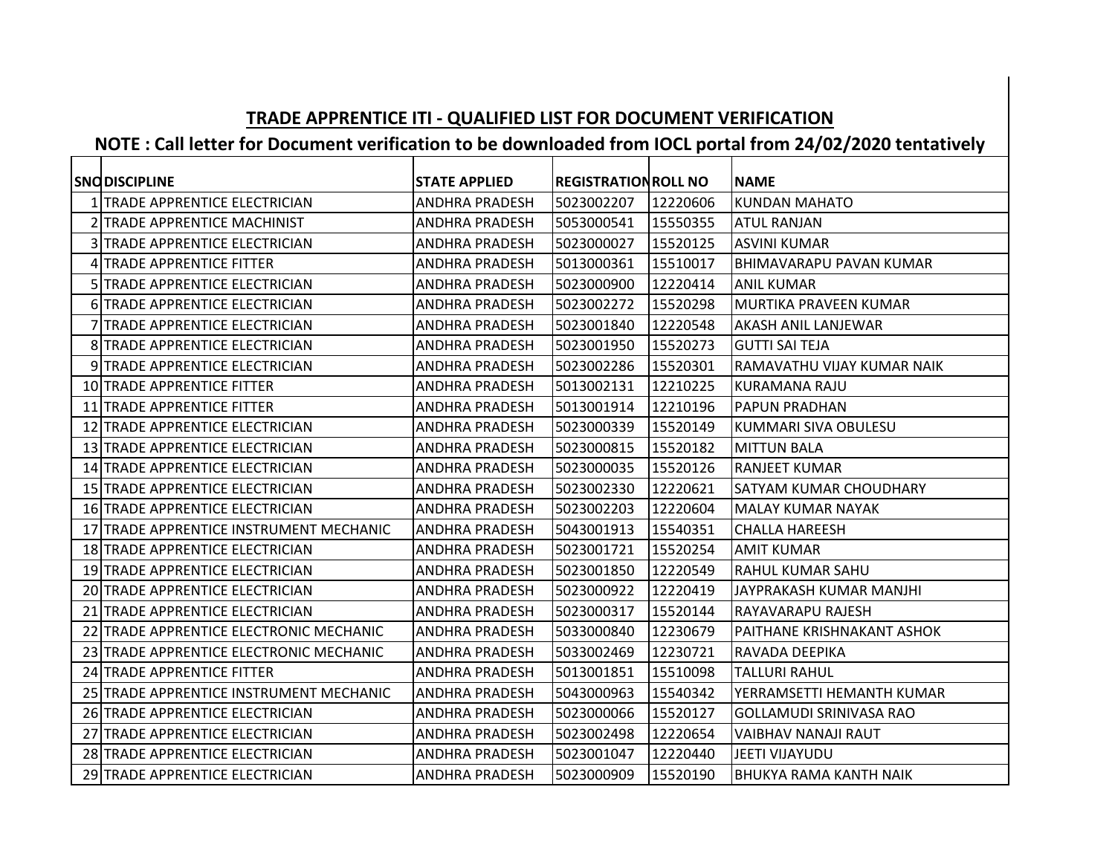## **TRADE APPRENTICE ITI - QUALIFIED LIST FOR DOCUMENT VERIFICATION**

## **NOTE : Call letter for Document verification to be downloaded from IOCL portal from 24/02/2020 tentatively**

| <b>SNODISCIPLINE</b>                    | <b>STATE APPLIED</b>  | <b>REGISTRATION ROLL NO</b> |          | <b>NAME</b>                    |
|-----------------------------------------|-----------------------|-----------------------------|----------|--------------------------------|
| 1 TRADE APPRENTICE ELECTRICIAN          | <b>ANDHRA PRADESH</b> | 5023002207                  | 12220606 | <b>KUNDAN MAHATO</b>           |
| 2 TRADE APPRENTICE MACHINIST            | <b>ANDHRA PRADESH</b> | 5053000541                  | 15550355 | <b>ATUL RANJAN</b>             |
| 3 TRADE APPRENTICE ELECTRICIAN          | <b>ANDHRA PRADESH</b> | 5023000027                  | 15520125 | <b>ASVINI KUMAR</b>            |
| 4 TRADE APPRENTICE FITTER               | <b>ANDHRA PRADESH</b> | 5013000361                  | 15510017 | <b>BHIMAVARAPU PAVAN KUMAR</b> |
| 5 TRADE APPRENTICE ELECTRICIAN          | <b>ANDHRA PRADESH</b> | 5023000900                  | 12220414 | <b>ANIL KUMAR</b>              |
| <b>6 TRADE APPRENTICE ELECTRICIAN</b>   | <b>ANDHRA PRADESH</b> | 5023002272                  | 15520298 | MURTIKA PRAVEEN KUMAR          |
| 7 TRADE APPRENTICE ELECTRICIAN          | <b>ANDHRA PRADESH</b> | 5023001840                  | 12220548 | AKASH ANIL LANJEWAR            |
| <b>8 TRADE APPRENTICE ELECTRICIAN</b>   | <b>ANDHRA PRADESH</b> | 5023001950                  | 15520273 | <b>GUTTI SAI TEJA</b>          |
| 9 TRADE APPRENTICE ELECTRICIAN          | <b>ANDHRA PRADESH</b> | 5023002286                  | 15520301 | RAMAVATHU VIJAY KUMAR NAIK     |
| <b>10 TRADE APPRENTICE FITTER</b>       | <b>ANDHRA PRADESH</b> | 5013002131                  | 12210225 | KURAMANA RAJU                  |
| 11 TRADE APPRENTICE FITTER              | <b>ANDHRA PRADESH</b> | 5013001914                  | 12210196 | <b>PAPUN PRADHAN</b>           |
| 12 TRADE APPRENTICE ELECTRICIAN         | <b>ANDHRA PRADESH</b> | 5023000339                  | 15520149 | KUMMARI SIVA OBULESU           |
| 13 TRADE APPRENTICE ELECTRICIAN         | <b>ANDHRA PRADESH</b> | 5023000815                  | 15520182 | <b>MITTUN BALA</b>             |
| 14 TRADE APPRENTICE ELECTRICIAN         | <b>ANDHRA PRADESH</b> | 5023000035                  | 15520126 | <b>RANJEET KUMAR</b>           |
| 15 TRADE APPRENTICE ELECTRICIAN         | <b>ANDHRA PRADESH</b> | 5023002330                  | 12220621 | SATYAM KUMAR CHOUDHARY         |
| 16 TRADE APPRENTICE ELECTRICIAN         | <b>ANDHRA PRADESH</b> | 5023002203                  | 12220604 | MALAY KUMAR NAYAK              |
| 17 TRADE APPRENTICE INSTRUMENT MECHANIC | <b>ANDHRA PRADESH</b> | 5043001913                  | 15540351 | <b>CHALLA HAREESH</b>          |
| 18 TRADE APPRENTICE ELECTRICIAN         | <b>ANDHRA PRADESH</b> | 5023001721                  | 15520254 | <b>AMIT KUMAR</b>              |
| 19 TRADE APPRENTICE ELECTRICIAN         | <b>ANDHRA PRADESH</b> | 5023001850                  | 12220549 | <b>RAHUL KUMAR SAHU</b>        |
| 20 TRADE APPRENTICE ELECTRICIAN         | <b>ANDHRA PRADESH</b> | 5023000922                  | 12220419 | JAYPRAKASH KUMAR MANJHI        |
| 21 TRADE APPRENTICE ELECTRICIAN         | <b>ANDHRA PRADESH</b> | 5023000317                  | 15520144 | RAYAVARAPU RAJESH              |
| 22 TRADE APPRENTICE ELECTRONIC MECHANIC | <b>ANDHRA PRADESH</b> | 5033000840                  | 12230679 | PAITHANE KRISHNAKANT ASHOK     |
| 23 TRADE APPRENTICE ELECTRONIC MECHANIC | <b>ANDHRA PRADESH</b> | 5033002469                  | 12230721 | RAVADA DEEPIKA                 |
| 24 TRADE APPRENTICE FITTER              | <b>ANDHRA PRADESH</b> | 5013001851                  | 15510098 | <b>TALLURI RAHUL</b>           |
| 25 TRADE APPRENTICE INSTRUMENT MECHANIC | <b>ANDHRA PRADESH</b> | 5043000963                  | 15540342 | YERRAMSETTI HEMANTH KUMAR      |
| 26 TRADE APPRENTICE ELECTRICIAN         | <b>ANDHRA PRADESH</b> | 5023000066                  | 15520127 | GOLLAMUDI SRINIVASA RAO        |
| 27 TRADE APPRENTICE ELECTRICIAN         | <b>ANDHRA PRADESH</b> | 5023002498                  | 12220654 | <b>VAIBHAV NANAJI RAUT</b>     |
| 28 TRADE APPRENTICE ELECTRICIAN         | <b>ANDHRA PRADESH</b> | 5023001047                  | 12220440 | JEETI VIJAYUDU                 |
| 29 TRADE APPRENTICE ELECTRICIAN         | <b>ANDHRA PRADESH</b> | 5023000909                  | 15520190 | BHUKYA RAMA KANTH NAIK         |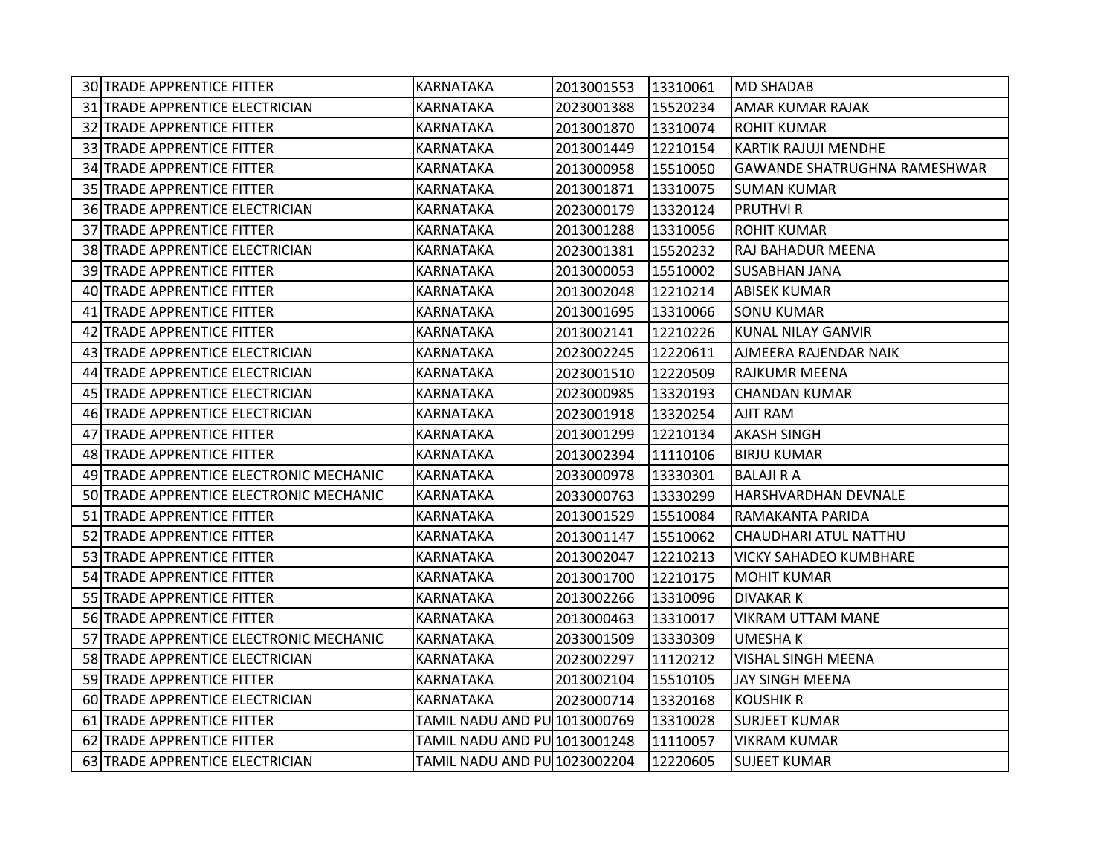| 30 TRADE APPRENTICE FITTER              | KARNATAKA                    | 2013001553 | 13310061 | <b>MD SHADAB</b>                    |
|-----------------------------------------|------------------------------|------------|----------|-------------------------------------|
| 31 TRADE APPRENTICE ELECTRICIAN         | KARNATAKA                    | 2023001388 | 15520234 | AMAR KUMAR RAJAK                    |
| 32 TRADE APPRENTICE FITTER              | KARNATAKA                    | 2013001870 | 13310074 | <b>ROHIT KUMAR</b>                  |
| 33 TRADE APPRENTICE FITTER              | KARNATAKA                    | 2013001449 | 12210154 | <b>KARTIK RAJUJI MENDHE</b>         |
| 34 TRADE APPRENTICE FITTER              | KARNATAKA                    | 2013000958 | 15510050 | <b>GAWANDE SHATRUGHNA RAMESHWAR</b> |
| 35 TRADE APPRENTICE FITTER              | KARNATAKA                    | 2013001871 | 13310075 | SUMAN KUMAR                         |
| 36 TRADE APPRENTICE ELECTRICIAN         | KARNATAKA                    | 2023000179 | 13320124 | <b>PRUTHVI R</b>                    |
| 37 TRADE APPRENTICE FITTER              | KARNATAKA                    | 2013001288 | 13310056 | <b>ROHIT KUMAR</b>                  |
| 38 TRADE APPRENTICE ELECTRICIAN         | KARNATAKA                    | 2023001381 | 15520232 | RAJ BAHADUR MEENA                   |
| 39 TRADE APPRENTICE FITTER              | KARNATAKA                    | 2013000053 | 15510002 | <b>SUSABHAN JANA</b>                |
| 40 TRADE APPRENTICE FITTER              | KARNATAKA                    | 2013002048 | 12210214 | <b>ABISEK KUMAR</b>                 |
| 41 TRADE APPRENTICE FITTER              | KARNATAKA                    | 2013001695 | 13310066 | <b>SONU KUMAR</b>                   |
| 42 TRADE APPRENTICE FITTER              | KARNATAKA                    | 2013002141 | 12210226 | <b>KUNAL NILAY GANVIR</b>           |
| 43 TRADE APPRENTICE ELECTRICIAN         | KARNATAKA                    | 2023002245 | 12220611 | AJMEERA RAJENDAR NAIK               |
| 44 TRADE APPRENTICE ELECTRICIAN         | KARNATAKA                    | 2023001510 | 12220509 | RAJKUMR MEENA                       |
| 45 TRADE APPRENTICE ELECTRICIAN         | KARNATAKA                    | 2023000985 | 13320193 | <b>CHANDAN KUMAR</b>                |
| 46 TRADE APPRENTICE ELECTRICIAN         | KARNATAKA                    | 2023001918 | 13320254 | AJIT RAM                            |
| 47 TRADE APPRENTICE FITTER              | KARNATAKA                    | 2013001299 | 12210134 | <b>AKASH SINGH</b>                  |
| 48 TRADE APPRENTICE FITTER              | KARNATAKA                    | 2013002394 | 11110106 | <b>BIRJU KUMAR</b>                  |
| 49 TRADE APPRENTICE ELECTRONIC MECHANIC | <b>KARNATAKA</b>             | 2033000978 | 13330301 | <b>BALAJI R A</b>                   |
| 50 TRADE APPRENTICE ELECTRONIC MECHANIC | KARNATAKA                    | 2033000763 | 13330299 | HARSHVARDHAN DEVNALE                |
| 51 TRADE APPRENTICE FITTER              | KARNATAKA                    | 2013001529 | 15510084 | RAMAKANTA PARIDA                    |
| 52 TRADE APPRENTICE FITTER              | KARNATAKA                    | 2013001147 | 15510062 | CHAUDHARI ATUL NATTHU               |
| 53 TRADE APPRENTICE FITTER              | KARNATAKA                    | 2013002047 | 12210213 | <b>VICKY SAHADEO KUMBHARE</b>       |
| 54 TRADE APPRENTICE FITTER              | KARNATAKA                    | 2013001700 | 12210175 | <b>MOHIT KUMAR</b>                  |
| 55 TRADE APPRENTICE FITTER              | KARNATAKA                    | 2013002266 | 13310096 | <b>DIVAKARK</b>                     |
| 56 TRADE APPRENTICE FITTER              | KARNATAKA                    | 2013000463 | 13310017 | <b>VIKRAM UTTAM MANE</b>            |
| 57 TRADE APPRENTICE ELECTRONIC MECHANIC | KARNATAKA                    | 2033001509 | 13330309 | <b>UMESHAK</b>                      |
| 58 TRADE APPRENTICE ELECTRICIAN         | KARNATAKA                    | 2023002297 | 11120212 | VISHAL SINGH MEENA                  |
| 59 TRADE APPRENTICE FITTER              | KARNATAKA                    | 2013002104 | 15510105 | JAY SINGH MEENA                     |
| 60 TRADE APPRENTICE ELECTRICIAN         | KARNATAKA                    | 2023000714 | 13320168 | <b>KOUSHIK R</b>                    |
| 61 TRADE APPRENTICE FITTER              | TAMIL NADU AND PU 1013000769 |            | 13310028 | <b>SURJEET KUMAR</b>                |
| 62 TRADE APPRENTICE FITTER              | TAMIL NADU AND PU 1013001248 |            | 11110057 | <b>VIKRAM KUMAR</b>                 |
| 63 TRADE APPRENTICE ELECTRICIAN         | TAMIL NADU AND PU 1023002204 |            | 12220605 | <b>SUJEET KUMAR</b>                 |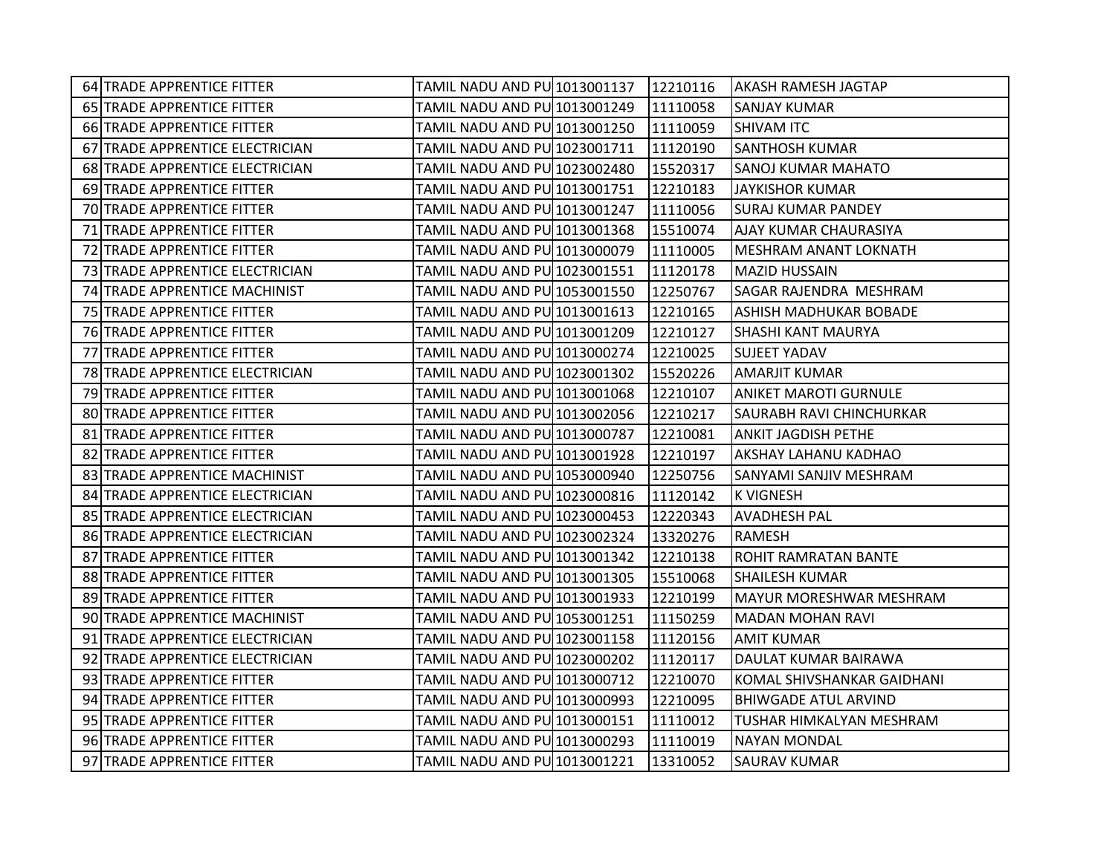| 64 TRADE APPRENTICE FITTER        | TAMIL NADU AND PU 1013001137   12210116 |          | <b>AKASH RAMESH JAGTAP</b>      |
|-----------------------------------|-----------------------------------------|----------|---------------------------------|
| 65 TRADE APPRENTICE FITTER        | TAMIL NADU AND PU 1013001249            | 11110058 | <b>SANJAY KUMAR</b>             |
| 66 TRADE APPRENTICE FITTER        | TAMIL NADU AND PU 1013001250            | 11110059 | <b>SHIVAM ITC</b>               |
| 67 TRADE APPRENTICE ELECTRICIAN   | TAMIL NADU AND PU 1023001711            | 11120190 | <b>SANTHOSH KUMAR</b>           |
| 68 TRADE APPRENTICE ELECTRICIAN   | TAMIL NADU AND PU 1023002480            | 15520317 | <b>SANOJ KUMAR MAHATO</b>       |
| 69 TRADE APPRENTICE FITTER        | TAMIL NADU AND PU 1013001751            | 12210183 | <b>JAYKISHOR KUMAR</b>          |
| 70 TRADE APPRENTICE FITTER        | TAMIL NADU AND PU 1013001247            | 11110056 | <b>SURAJ KUMAR PANDEY</b>       |
| 71 TRADE APPRENTICE FITTER        | TAMIL NADU AND PU 1013001368            | 15510074 | AJAY KUMAR CHAURASIYA           |
| 72 TRADE APPRENTICE FITTER        | TAMIL NADU AND PU 1013000079            | 11110005 | <b>MESHRAM ANANT LOKNATH</b>    |
| 73 TRADE APPRENTICE ELECTRICIAN   | TAMIL NADU AND PU 1023001551            | 11120178 | <b>MAZID HUSSAIN</b>            |
| 74 TRADE APPRENTICE MACHINIST     | TAMIL NADU AND PU 1053001550            | 12250767 | SAGAR RAJENDRA MESHRAM          |
| 75 TRADE APPRENTICE FITTER        | TAMIL NADU AND PU 1013001613            | 12210165 | <b>ASHISH MADHUKAR BOBADE</b>   |
| 76 TRADE APPRENTICE FITTER        | TAMIL NADU AND PU 1013001209            | 12210127 | <b>SHASHI KANT MAURYA</b>       |
| 77 TRADE APPRENTICE FITTER        | TAMIL NADU AND PU 1013000274            | 12210025 | <b>SUJEET YADAV</b>             |
| 78 TRADE APPRENTICE ELECTRICIAN   | TAMIL NADU AND PU 1023001302            | 15520226 | <b>AMARJIT KUMAR</b>            |
| 79 TRADE APPRENTICE FITTER        | TAMIL NADU AND PU 1013001068            | 12210107 | <b>ANIKET MAROTI GURNULE</b>    |
| <b>80 TRADE APPRENTICE FITTER</b> | TAMIL NADU AND PU 1013002056            | 12210217 | <b>SAURABH RAVI CHINCHURKAR</b> |
| 81 TRADE APPRENTICE FITTER        | TAMIL NADU AND PU 1013000787            | 12210081 | <b>ANKIT JAGDISH PETHE</b>      |
| 82 TRADE APPRENTICE FITTER        | TAMIL NADU AND PU 1013001928            | 12210197 | AKSHAY LAHANU KADHAO            |
| 83 TRADE APPRENTICE MACHINIST     | TAMIL NADU AND PU 1053000940            | 12250756 | SANYAMI SANJIV MESHRAM          |
| 84 TRADE APPRENTICE ELECTRICIAN   | TAMIL NADU AND PU 1023000816            | 11120142 | <b>K VIGNESH</b>                |
| 85 TRADE APPRENTICE ELECTRICIAN   | TAMIL NADU AND PU 1023000453            | 12220343 | <b>AVADHESH PAL</b>             |
| 86 TRADE APPRENTICE ELECTRICIAN   | TAMIL NADU AND PU 1023002324            | 13320276 | RAMESH                          |
| 87 TRADE APPRENTICE FITTER        | TAMIL NADU AND PU 1013001342            | 12210138 | IROHIT RAMRATAN BANTE           |
| 88 TRADE APPRENTICE FITTER        | TAMIL NADU AND PU 1013001305            | 15510068 | <b>SHAILESH KUMAR</b>           |
| 89 TRADE APPRENTICE FITTER        | TAMIL NADU AND PU 1013001933            | 12210199 | <b>MAYUR MORESHWAR MESHRAM</b>  |
| 90 TRADE APPRENTICE MACHINIST     | TAMIL NADU AND PU 1053001251            | 11150259 | <b>MADAN MOHAN RAVI</b>         |
| 91 TRADE APPRENTICE ELECTRICIAN   | TAMIL NADU AND PU 1023001158            | 11120156 | <b>AMIT KUMAR</b>               |
| 92 TRADE APPRENTICE ELECTRICIAN   | TAMIL NADU AND PU 1023000202            | 11120117 | DAULAT KUMAR BAIRAWA            |
| 93 TRADE APPRENTICE FITTER        | TAMIL NADU AND PU 1013000712            | 12210070 | KOMAL SHIVSHANKAR GAIDHANI      |
| 94 TRADE APPRENTICE FITTER        | TAMIL NADU AND PU 1013000993            | 12210095 | <b>BHIWGADE ATUL ARVIND</b>     |
| 95 TRADE APPRENTICE FITTER        | TAMIL NADU AND PU 1013000151            | 11110012 | TUSHAR HIMKALYAN MESHRAM        |
| 96 TRADE APPRENTICE FITTER        | TAMIL NADU AND PU 1013000293            | 11110019 | <b>NAYAN MONDAL</b>             |
| 97 TRADE APPRENTICE FITTER        | TAMIL NADU AND PU 1013001221            | 13310052 | <b>SAURAV KUMAR</b>             |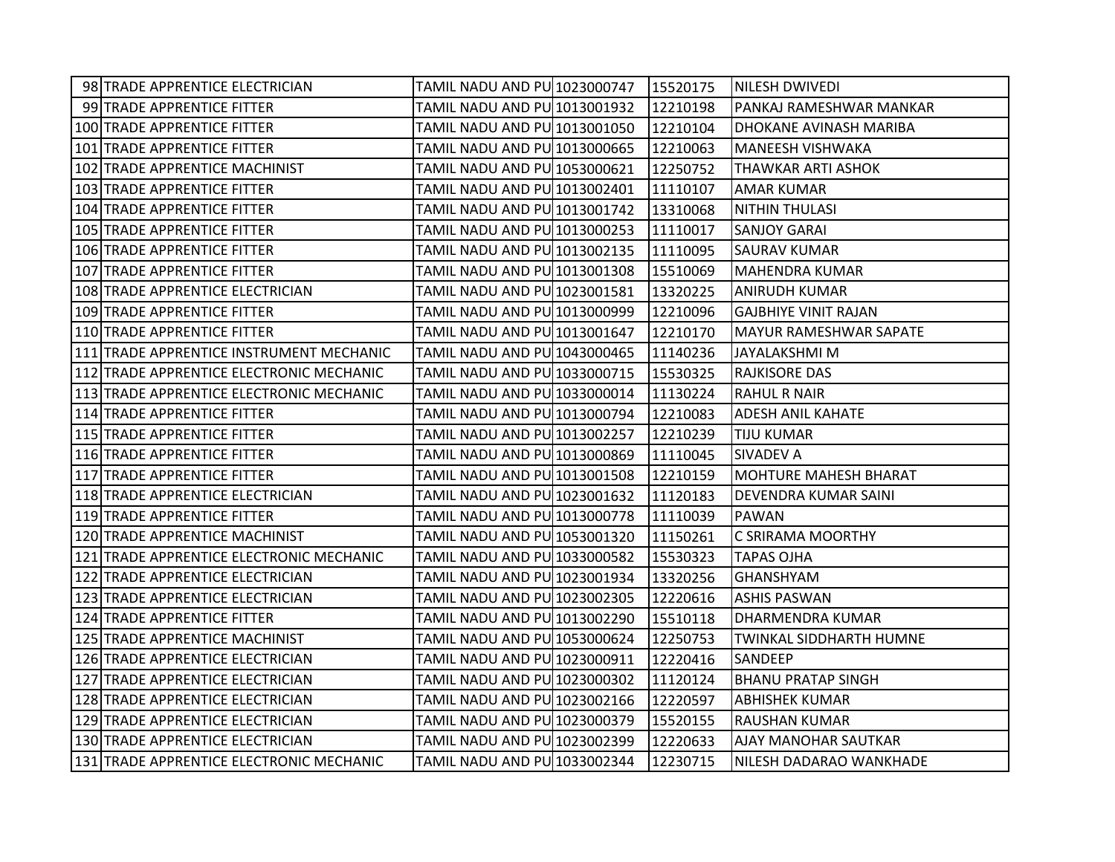| 98 TRADE APPRENTICE ELECTRICIAN          | TAMIL NADU AND PU 1023000747   15520175 |          | NILESH DWIVEDI                 |
|------------------------------------------|-----------------------------------------|----------|--------------------------------|
| 99 TRADE APPRENTICE FITTER               | TAMIL NADU AND PU 1013001932            | 12210198 | PANKAJ RAMESHWAR MANKAR        |
| 100 TRADE APPRENTICE FITTER              | TAMIL NADU AND PU 1013001050            | 12210104 | DHOKANE AVINASH MARIBA         |
| 101 TRADE APPRENTICE FITTER              | TAMIL NADU AND PU 1013000665            | 12210063 | <b>MANEESH VISHWAKA</b>        |
| 102 TRADE APPRENTICE MACHINIST           | TAMIL NADU AND PU 1053000621            | 12250752 | <b>THAWKAR ARTI ASHOK</b>      |
| 103 TRADE APPRENTICE FITTER              | TAMIL NADU AND PU 1013002401            | 11110107 | <b>AMAR KUMAR</b>              |
| 104 TRADE APPRENTICE FITTER              | TAMIL NADU AND PU 1013001742            | 13310068 | <b>NITHIN THULASI</b>          |
| 105 TRADE APPRENTICE FITTER              | TAMIL NADU AND PU 1013000253            | 11110017 | <b>SANJOY GARAI</b>            |
| 106 TRADE APPRENTICE FITTER              | TAMIL NADU AND PU 1013002135            | 11110095 | <b>SAURAV KUMAR</b>            |
| 107 TRADE APPRENTICE FITTER              | TAMIL NADU AND PU 1013001308            | 15510069 | <b>MAHENDRA KUMAR</b>          |
| 108 TRADE APPRENTICE ELECTRICIAN         | TAMIL NADU AND PU 1023001581            | 13320225 | <b>ANIRUDH KUMAR</b>           |
| 109 TRADE APPRENTICE FITTER              | TAMIL NADU AND PU 1013000999            | 12210096 | <b>GAJBHIYE VINIT RAJAN</b>    |
| 110 TRADE APPRENTICE FITTER              | TAMIL NADU AND PU 1013001647            | 12210170 | MAYUR RAMESHWAR SAPATE         |
| 111 TRADE APPRENTICE INSTRUMENT MECHANIC | <b>TAMIL NADU AND PU 1043000465</b>     | 11140236 | <b>JAYALAKSHMI M</b>           |
| 112 TRADE APPRENTICE ELECTRONIC MECHANIC | TAMIL NADU AND PU 1033000715            | 15530325 | <b>RAJKISORE DAS</b>           |
| 113 TRADE APPRENTICE ELECTRONIC MECHANIC | TAMIL NADU AND PU 1033000014            | 11130224 | RAHUL R NAIR                   |
| 114 TRADE APPRENTICE FITTER              | TAMIL NADU AND PU 1013000794            | 12210083 | <b>ADESH ANIL KAHATE</b>       |
| 115 TRADE APPRENTICE FITTER              | TAMIL NADU AND PU 1013002257            | 12210239 | <b>TIJU KUMAR</b>              |
| 116 TRADE APPRENTICE FITTER              | TAMIL NADU AND PU 1013000869            | 11110045 | ISIVADEV A                     |
| 117 TRADE APPRENTICE FITTER              | TAMIL NADU AND PU 1013001508            | 12210159 | MOHTURE MAHESH BHARAT          |
| 118 TRADE APPRENTICE ELECTRICIAN         | TAMIL NADU AND PU 1023001632            | 11120183 | DEVENDRA KUMAR SAINI           |
| 119 TRADE APPRENTICE FITTER              | TAMIL NADU AND PU 1013000778            | 11110039 | <b>PAWAN</b>                   |
| 120 TRADE APPRENTICE MACHINIST           | TAMIL NADU AND PU 1053001320            | 11150261 | C SRIRAMA MOORTHY              |
| 121 TRADE APPRENTICE ELECTRONIC MECHANIC | TAMIL NADU AND PU 1033000582            | 15530323 | <b>TAPAS OJHA</b>              |
| 122 TRADE APPRENTICE ELECTRICIAN         | TAMIL NADU AND PU 1023001934            | 13320256 | <b>GHANSHYAM</b>               |
| 123 TRADE APPRENTICE ELECTRICIAN         | TAMIL NADU AND PU 1023002305            | 12220616 | <b>ASHIS PASWAN</b>            |
| 124 TRADE APPRENTICE FITTER              | TAMIL NADU AND PU 1013002290            | 15510118 | DHARMENDRA KUMAR               |
| 125 TRADE APPRENTICE MACHINIST           | TAMIL NADU AND PU 1053000624            | 12250753 | <b>TWINKAL SIDDHARTH HUMNE</b> |
| 126 TRADE APPRENTICE ELECTRICIAN         | TAMIL NADU AND PU 1023000911            | 12220416 | <b>SANDEEP</b>                 |
| 127 TRADE APPRENTICE ELECTRICIAN         | TAMIL NADU AND PU 1023000302            | 11120124 | <b>BHANU PRATAP SINGH</b>      |
| 128 TRADE APPRENTICE ELECTRICIAN         | TAMIL NADU AND PU 1023002166            | 12220597 | <b>ABHISHEK KUMAR</b>          |
| 129 TRADE APPRENTICE ELECTRICIAN         | TAMIL NADU AND PU 1023000379            | 15520155 | <b>RAUSHAN KUMAR</b>           |
| 130 TRADE APPRENTICE ELECTRICIAN         | TAMIL NADU AND PU 1023002399            | 12220633 | <b>AJAY MANOHAR SAUTKAR</b>    |
| 131 TRADE APPRENTICE ELECTRONIC MECHANIC | TAMIL NADU AND PU 1033002344            | 12230715 | NILESH DADARAO WANKHADE        |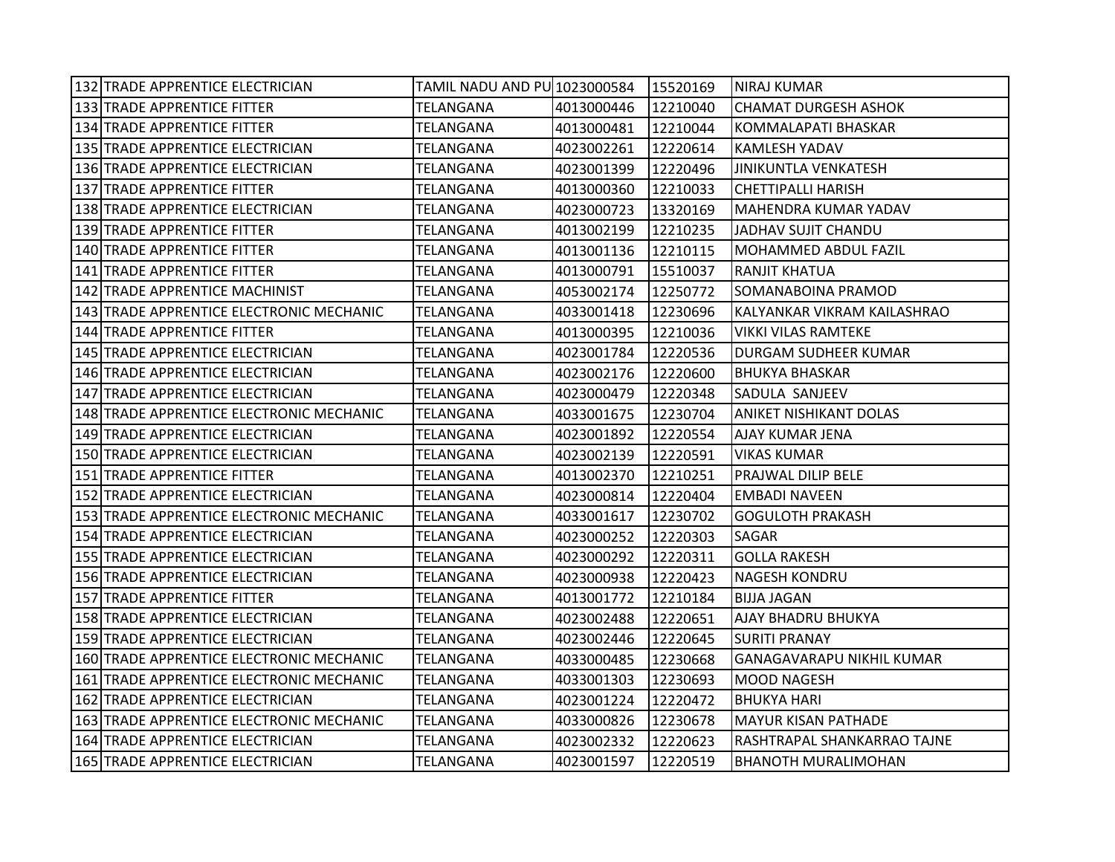| 132 TRADE APPRENTICE ELECTRICIAN         | TAMIL NADU AND PU 1023000584   15520169 |            |          | INIRAJ KUMAR                     |
|------------------------------------------|-----------------------------------------|------------|----------|----------------------------------|
| 133 TRADE APPRENTICE FITTER              | TELANGANA                               | 4013000446 | 12210040 | <b>CHAMAT DURGESH ASHOK</b>      |
| 134 TRADE APPRENTICE FITTER              | TELANGANA                               | 4013000481 | 12210044 | KOMMALAPATI BHASKAR              |
| 135 TRADE APPRENTICE ELECTRICIAN         | TELANGANA                               | 4023002261 | 12220614 | <b>KAMLESH YADAV</b>             |
| 136 TRADE APPRENTICE ELECTRICIAN         | TELANGANA                               | 4023001399 | 12220496 | JINIKUNTLA VENKATESH             |
| 137 TRADE APPRENTICE FITTER              | TELANGANA                               | 4013000360 | 12210033 | <b>CHETTIPALLI HARISH</b>        |
| 138 TRADE APPRENTICE ELECTRICIAN         | TELANGANA                               | 4023000723 | 13320169 | MAHENDRA KUMAR YADAV             |
| 139 TRADE APPRENTICE FITTER              | TELANGANA                               | 4013002199 | 12210235 | JADHAV SUJIT CHANDU              |
| 140 TRADE APPRENTICE FITTER              | TELANGANA                               | 4013001136 | 12210115 | MOHAMMED ABDUL FAZIL             |
| 141 TRADE APPRENTICE FITTER              | TELANGANA                               | 4013000791 | 15510037 | <b>RANJIT KHATUA</b>             |
| 142 TRADE APPRENTICE MACHINIST           | TELANGANA                               | 4053002174 | 12250772 | SOMANABOINA PRAMOD               |
| 143 TRADE APPRENTICE ELECTRONIC MECHANIC | TELANGANA                               | 4033001418 | 12230696 | KALYANKAR VIKRAM KAILASHRAO      |
| 144 TRADE APPRENTICE FITTER              | TELANGANA                               | 4013000395 | 12210036 | VIKKI VILAS RAMTEKE              |
| 145 TRADE APPRENTICE ELECTRICIAN         | TELANGANA                               | 4023001784 | 12220536 | <b>DURGAM SUDHEER KUMAR</b>      |
| 146 TRADE APPRENTICE ELECTRICIAN         | TELANGANA                               | 4023002176 | 12220600 | <b>BHUKYA BHASKAR</b>            |
| 147 TRADE APPRENTICE ELECTRICIAN         | TELANGANA                               | 4023000479 | 12220348 | SADULA SANJEEV                   |
| 148 TRADE APPRENTICE ELECTRONIC MECHANIC | TELANGANA                               | 4033001675 | 12230704 | <b>ANIKET NISHIKANT DOLAS</b>    |
| 149 TRADE APPRENTICE ELECTRICIAN         | TELANGANA                               | 4023001892 | 12220554 | <b>AJAY KUMAR JENA</b>           |
| 150 TRADE APPRENTICE ELECTRICIAN         | TELANGANA                               | 4023002139 | 12220591 | <b>VIKAS KUMAR</b>               |
| 151 TRADE APPRENTICE FITTER              | TELANGANA                               | 4013002370 | 12210251 | PRAJWAL DILIP BELE               |
| 152 TRADE APPRENTICE ELECTRICIAN         | TELANGANA                               | 4023000814 | 12220404 | <b>EMBADI NAVEEN</b>             |
| 153 TRADE APPRENTICE ELECTRONIC MECHANIC | TELANGANA                               | 4033001617 | 12230702 | <b>GOGULOTH PRAKASH</b>          |
| 154 TRADE APPRENTICE ELECTRICIAN         | TELANGANA                               | 4023000252 | 12220303 | <b>SAGAR</b>                     |
| 155 TRADE APPRENTICE ELECTRICIAN         | TELANGANA                               | 4023000292 | 12220311 | <b>GOLLA RAKESH</b>              |
| 156 TRADE APPRENTICE ELECTRICIAN         | TELANGANA                               | 4023000938 | 12220423 | NAGESH KONDRU                    |
| 157 TRADE APPRENTICE FITTER              | TELANGANA                               | 4013001772 | 12210184 | <b>BIJJA JAGAN</b>               |
| 158 TRADE APPRENTICE ELECTRICIAN         | TELANGANA                               | 4023002488 | 12220651 | <b>AJAY BHADRU BHUKYA</b>        |
| 159 TRADE APPRENTICE ELECTRICIAN         | TELANGANA                               | 4023002446 | 12220645 | <b>SURITI PRANAY</b>             |
| 160 TRADE APPRENTICE ELECTRONIC MECHANIC | TELANGANA                               | 4033000485 | 12230668 | <b>GANAGAVARAPU NIKHIL KUMAR</b> |
| 161 TRADE APPRENTICE ELECTRONIC MECHANIC | <b>TELANGANA</b>                        | 4033001303 | 12230693 | <b>MOOD NAGESH</b>               |
| 162 TRADE APPRENTICE ELECTRICIAN         | TELANGANA                               | 4023001224 | 12220472 | <b>BHUKYA HARI</b>               |
| 163 TRADE APPRENTICE ELECTRONIC MECHANIC | TELANGANA                               | 4033000826 | 12230678 | <b>MAYUR KISAN PATHADE</b>       |
| 164 TRADE APPRENTICE ELECTRICIAN         | TELANGANA                               | 4023002332 | 12220623 | RASHTRAPAL SHANKARRAO TAJNE      |
| 165 TRADE APPRENTICE ELECTRICIAN         | TELANGANA                               | 4023001597 | 12220519 | <b>BHANOTH MURALIMOHAN</b>       |